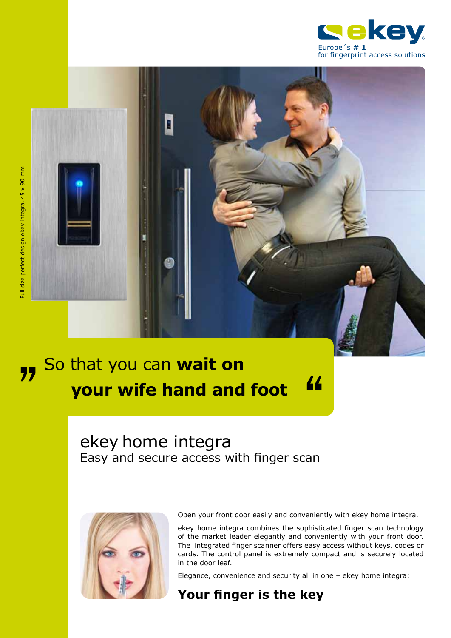



# So that you can **wait on your wife hand and foot 17** So that you can wait on<br>your wife hand and foot 44

# ekey home integra Easy and secure access with finger scan



Open your front door easily and conveniently with ekey home integra.

ekey home integra combines the sophisticated finger scan technology of the market leader elegantly and conveniently with your front door. The integrated finger scanner offers easy access without keys, codes or cards. The control panel is extremely compact and is securely located in the door leaf.

Elegance, convenience and security all in one – ekey home integra:

## **Your finger is the key**